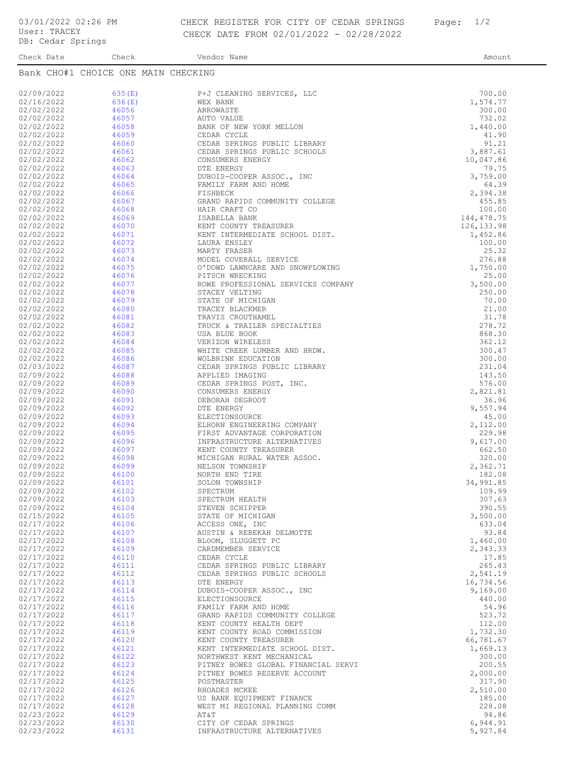Check Date Check Check Vendor Name Check Check Check Date Amount

| Bank CHO#1 CHOICE ONE MAIN CHECKING |                |                                                           |                    |  |
|-------------------------------------|----------------|-----------------------------------------------------------|--------------------|--|
| 02/09/2022                          | 635(E)         | P+J CLEANING SERVICES, LLC                                | 700.00             |  |
| 02/16/2022                          | 636(E)         | WEX BANK                                                  | 1,574.77           |  |
| 02/02/2022                          | 46056          | ARROWASTE                                                 | 300.00             |  |
| 02/02/2022                          | 46057          | AUTO VALUE                                                | 732.02             |  |
| 02/02/2022                          | 46058          | BANK OF NEW YORK MELLON                                   | 1,440.00           |  |
| 02/02/2022                          | 46059          | CEDAR CYCLE                                               | 41.90              |  |
| 02/02/2022                          | 46060          | CEDAR SPRINGS PUBLIC LIBRARY                              | 91.21              |  |
| 02/02/2022                          | 46061          | CEDAR SPRINGS PUBLIC SCHOOLS                              | 3,887.61           |  |
| 02/02/2022<br>02/02/2022            | 46062<br>46063 | CONSUMERS ENERGY<br>DTE ENERGY                            | 10,047.86<br>79.75 |  |
| 02/02/2022                          | 46064          | DUBOIS-COOPER ASSOC., INC                                 | 3,759.00           |  |
| 02/02/2022                          | 46065          | FAMILY FARM AND HOME                                      | 64.39              |  |
| 02/02/2022                          | 46066          | FISHBECK                                                  | 2,394.38           |  |
| 02/02/2022                          | 46067          | GRAND RAPIDS COMMUNITY COLLEGE                            | 455.85             |  |
| 02/02/2022                          | 46068          | HAIR CRAFT CO                                             | 100.00             |  |
| 02/02/2022                          | 46069          | ISABELLA BANK                                             | 144,478.75         |  |
| 02/02/2022                          | 46070          | KENT COUNTY TREASURER                                     | 126, 133.98        |  |
| 02/02/2022<br>02/02/2022            | 46071<br>46072 | KENT INTERMEDIATE SCHOOL DIST.<br>LAURA ENSLEY            | 1,452.86<br>100.00 |  |
| 02/02/2022                          | 46073          | MARTY FRASER                                              | 25.32              |  |
| 02/02/2022                          | 46074          | MODEL COVERALL SERVICE                                    | 276.88             |  |
| 02/02/2022                          | 46075          | O'DOWD LAWNCARE AND SNOWPLOWING                           | 1,750.00           |  |
| 02/02/2022                          | 46076          | PITSCH WRECKING                                           | 25.00              |  |
| 02/02/2022                          | 46077          | ROWE PROFESSIONAL SERVICES COMPANY                        | 3,500.00           |  |
| 02/02/2022                          | 46078          | STACEY VELTING                                            | 250.00             |  |
| 02/02/2022                          | 46079          | STATE OF MICHIGAN                                         | 70.00              |  |
| 02/02/2022                          | 46080          | TRACEY BLACKMER<br>TRAVIS CROUTHAMEL                      | 21.00<br>31.78     |  |
| 02/02/2022<br>02/02/2022            | 46081<br>46082 | TRUCK & TRAILER SPECIALTIES                               | 278.72             |  |
| 02/02/2022                          | 46083          | USA BLUE BOOK                                             | 868.30             |  |
| 02/02/2022                          | 46084          | VERIZON WIRELESS                                          | 362.12             |  |
| 02/02/2022                          | 46085          | WHITE CREEK LUMBER AND HRDW.                              | 300.47             |  |
| 02/02/2022                          | 46086          | WOLBRINK EDUCATION                                        | 300.00             |  |
| 02/03/2022                          | 46087          | CEDAR SPRINGS PUBLIC LIBRARY                              | 231.04             |  |
| 02/09/2022                          | 46088          | APPLIED IMAGING                                           | 143.50             |  |
| 02/09/2022                          | 46089          | CEDAR SPRINGS POST, INC.                                  | 576.00             |  |
| 02/09/2022<br>02/09/2022            | 46090<br>46091 | CONSUMERS ENERGY<br>DEBORAH DEGROOT                       | 2,821.81<br>36.96  |  |
| 02/09/2022                          | 46092          | DTE ENERGY                                                | 9,557.94           |  |
| 02/09/2022                          | 46093          | ELECTIONSOURCE                                            | 45.00              |  |
| 02/09/2022                          | 46094          | ELHORN ENGINEERING COMPANY                                | 2,112.00           |  |
| 02/09/2022                          | 46095          | FIRST ADVANTAGE CORPORATION                               | 229.98             |  |
| 02/09/2022                          | 46096          | INFRASTRUCTURE ALTERNATIVES                               | 9,617.00           |  |
| 02/09/2022                          | 46097          | KENT COUNTY TREASURER                                     | 662.50             |  |
| 02/09/2022                          | 46098          | MICHIGAN RURAL WATER ASSOC.<br>NELSON TOWNSHIP            | 320.00             |  |
| 02/09/2022<br>02/09/2022            | 46099<br>46100 | NORTH END TIRE                                            | 2,362.71<br>182.08 |  |
| 02/09/2022                          | 46101          | SOLON TOWNSHIP                                            | 34,991.85          |  |
| 02/09/2022                          | 46102          | SPECTRUM                                                  | 109.99             |  |
| 02/09/2022                          | 46103          | SPECTRUM HEALTH                                           | 307.63             |  |
| 02/09/2022                          | 46104          | STEVEN SCHIPPER                                           | 390.55             |  |
| 02/15/2022                          | 46105          | STATE OF MICHIGAN                                         | 3,500.00           |  |
| 02/17/2022                          | 46106          | ACCESS ONE, INC                                           | 633.04             |  |
| 02/17/2022<br>02/17/2022            | 46107<br>46108 | AUSTIN & REBEKAH DELMOTTE<br>BLOOM, SLUGGETT PC           | 93.84<br>1,460.00  |  |
| 02/17/2022                          | 46109          | CARDMEMBER SERVICE                                        | 2,343.33           |  |
| 02/17/2022                          | 46110          | CEDAR CYCLE                                               | 17.85              |  |
| 02/17/2022                          | 46111          | CEDAR SPRINGS PUBLIC LIBRARY                              | 265.43             |  |
| 02/17/2022                          | 46112          | CEDAR SPRINGS PUBLIC SCHOOLS                              | 2,541.19           |  |
| 02/17/2022                          | 46113          | DTE ENERGY                                                | 16,734.56          |  |
| 02/17/2022                          | 46114          | DUBOIS-COOPER ASSOC., INC                                 | 9,169.00           |  |
| 02/17/2022                          | 46115          | ELECTIONSOURCE                                            | 440.00             |  |
| 02/17/2022                          | 46116<br>46117 | FAMILY FARM AND HOME                                      | 54.96              |  |
| 02/17/2022<br>02/17/2022            | 46118          | GRAND RAPIDS COMMUNITY COLLEGE<br>KENT COUNTY HEALTH DEPT | 523.72<br>112.00   |  |
| 02/17/2022                          | 46119          | KENT COUNTY ROAD COMMISSION                               | 1,732.30           |  |
| 02/17/2022                          | 46120          | KENT COUNTY TREASURER                                     | 66,781.67          |  |
| 02/17/2022                          | 46121          | KENT INTERMEDIATE SCHOOL DIST.                            | 1,669.13           |  |
| 02/17/2022                          | 46122          | NORTHWEST KENT MECHANICAL                                 | 300.00             |  |
| 02/17/2022                          | 46123          | PITNEY BOWES GLOBAL FINANCIAL SERVI                       | 200.55             |  |
| 02/17/2022                          | 46124          | PITNEY BOWES RESERVE ACCOUNT                              | 2,000.00           |  |
| 02/17/2022                          | 46125          | POSTMASTER                                                | 317.90             |  |
| 02/17/2022<br>02/17/2022            | 46126<br>46127 | RHOADES MCKEE<br>US BANK EQUIPMENT FINANCE                | 2,510.00<br>185.00 |  |
| 02/17/2022                          | 46128          | WEST MI REGIONAL PLANNING COMM                            | 228.08             |  |
| 02/23/2022                          | 46129          | AT&T                                                      | 94.86              |  |
| 02/23/2022                          | 46130          | CITY OF CEDAR SPRINGS                                     | 6,944.91           |  |
| 02/23/2022                          | 46131          | INFRASTRUCTURE ALTERNATIVES                               | 5,927.84           |  |